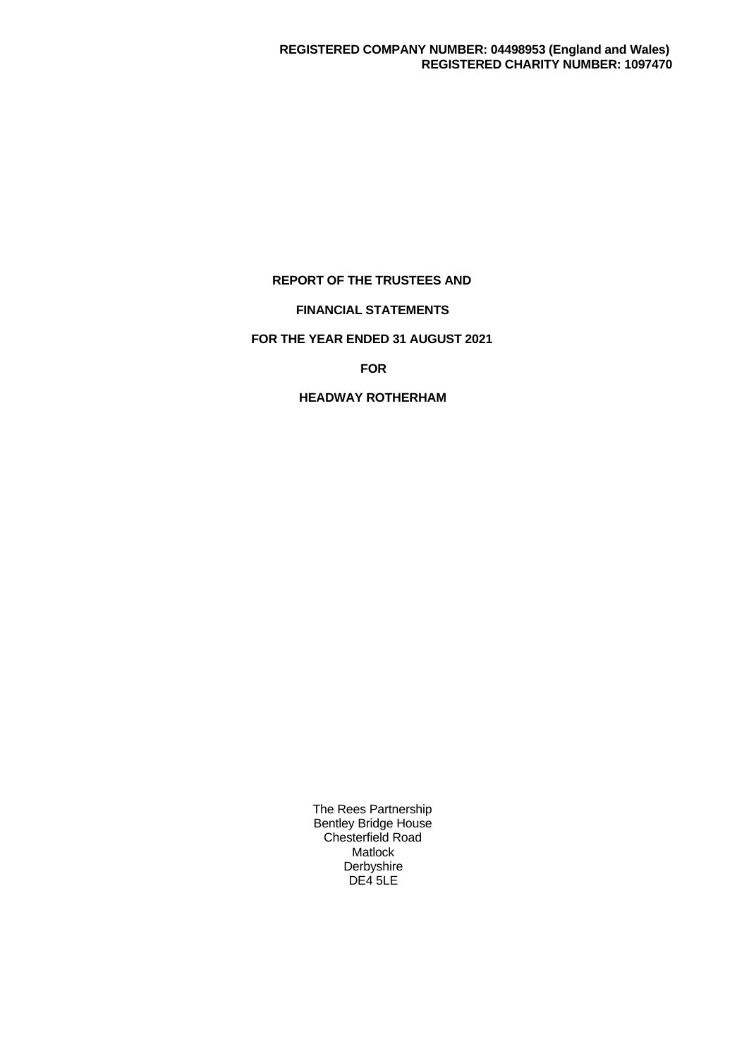# **REPORT OF THE TRUSTEES AND**

# **FINANCIAL STATEMENTS**

# **FOR THE YEAR ENDED 31 AUGUST 2021**

# **FOR**

# **HEADWAY ROTHERHAM**

The Rees Partnership Bentley Bridge House Chesterfield Road Matlock Derbyshire DE4 5LE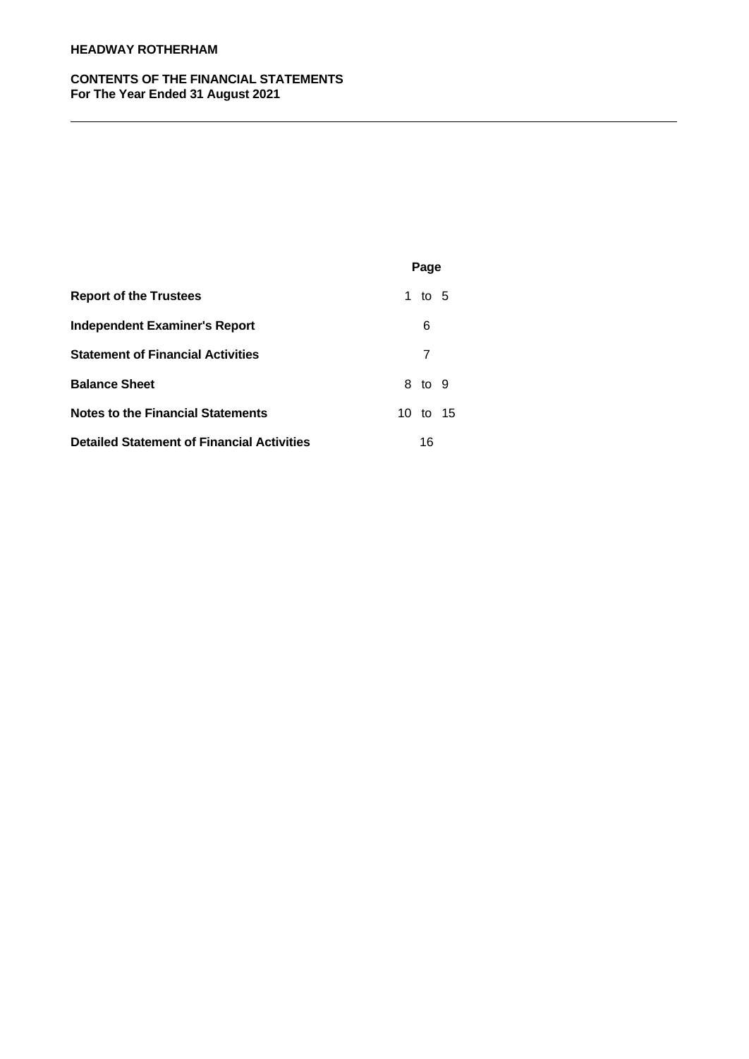# **HEADWAY ROTHERHAM**

# **CONTENTS OF THE FINANCIAL STATEMENTS For The Year Ended 31 August 2021**

|                                                   | Page     |
|---------------------------------------------------|----------|
| <b>Report of the Trustees</b>                     | 1 to $5$ |
| <b>Independent Examiner's Report</b>              | 6        |
| <b>Statement of Financial Activities</b>          | 7        |
| <b>Balance Sheet</b>                              | 8 to 9   |
| <b>Notes to the Financial Statements</b>          | 10 to 15 |
| <b>Detailed Statement of Financial Activities</b> | 16       |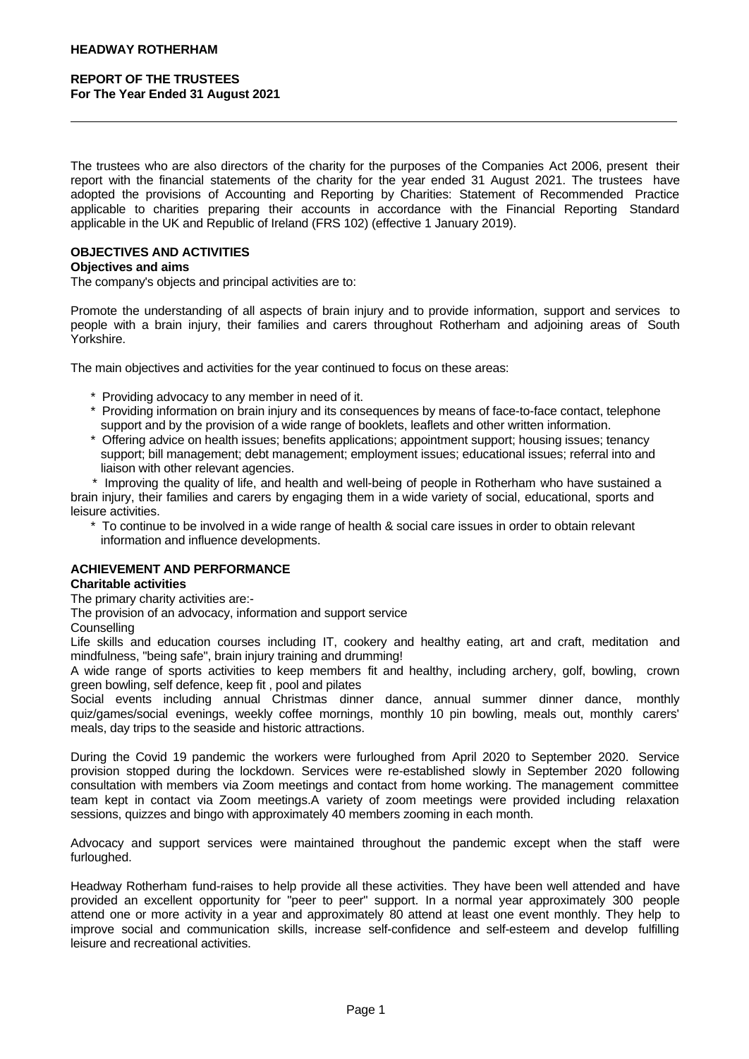The trustees who are also directors of the charity for the purposes of the Companies Act 2006, present their report with the financial statements of the charity for the year ended 31 August 2021. The trustees have adopted the provisions of Accounting and Reporting by Charities: Statement of Recommended Practice applicable to charities preparing their accounts in accordance with the Financial Reporting Standard applicable in the UK and Republic of Ireland (FRS 102) (effective 1 January 2019).

## **OBJECTIVES AND ACTIVITIES**

### **Objectives and aims**

The company's objects and principal activities are to:

Promote the understanding of all aspects of brain injury and to provide information, support and services to people with a brain injury, their families and carers throughout Rotherham and adjoining areas of South Yorkshire.

The main objectives and activities for the year continued to focus on these areas:

- \* Providing advocacy to any member in need of it.
- \* Providing information on brain injury and its consequences by means of face-to-face contact, telephone support and by the provision of a wide range of booklets, leaflets and other written information.
- \* Offering advice on health issues; benefits applications; appointment support; housing issues; tenancy support; bill management; debt management; employment issues; educational issues; referral into and liaison with other relevant agencies.

\* Improving the quality of life, and health and well-being of people in Rotherham who have sustained a brain injury, their families and carers by engaging them in a wide variety of social,educational, sports and leisure activities.

 \* To continue to be involved in a wide range of health & social care issues in order to obtain relevant information and influence developments.

### **ACHIEVEMENT AND PERFORMANCE**

### **Charitable activities**

The primary charity activities are:-

The provision of an advocacy, information and support service

**Counselling** 

Life skills and education courses including IT, cookery and healthy eating, art and craft, meditation and mindfulness, "being safe", brain injury training and drumming!

A wide range of sports activities to keep members fit and healthy, including archery, golf, bowling, crown green bowling, self defence, keep fit , pool and pilates

Social events including annual Christmas dinner dance, annual summer dinner dance, monthly quiz/games/social evenings, weekly coffee mornings, monthly 10 pin bowling, meals out, monthly carers' meals, day trips to the seaside and historic attractions.

During the Covid 19 pandemic the workers were furloughed from April 2020 to September 2020. Service provision stopped during the lockdown. Services were re-established slowly in September 2020 following consultation with members via Zoom meetings and contact from home working. The management committee team kept in contact via Zoom meetings.A variety of zoom meetings were provided including relaxation sessions, quizzes and bingo with approximately 40 members zooming in each month.

Advocacy and support services were maintained throughout the pandemic except when the staff were furloughed.

Headway Rotherham fund-raises to help provide all these activities. They have been well attended and have provided an excellent opportunity for "peer to peer" support. In a normal year approximately 300 people attend one or more activity in a year and approximately 80 attend at least one event monthly. They help to improve social and communication skills, increase self-confidence and self-esteem and develop fulfilling leisure and recreational activities.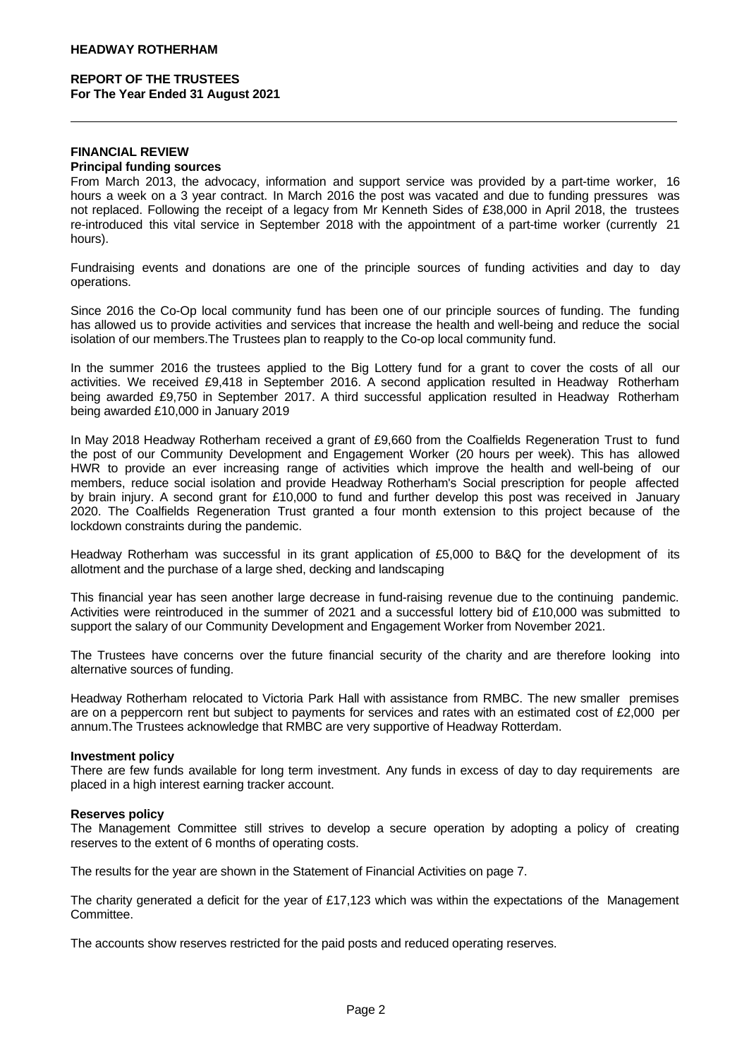#### **FINANCIAL REVIEW Principal funding sources**

From March 2013, the advocacy, information and support service was provided by a part-time worker, 16 hours a week on a 3 year contract. In March 2016 the post was vacated and due to funding pressures was not replaced. Following the receipt of a legacy from Mr Kenneth Sides of £38,000 in April 2018, the trustees re-introduced this vital service in September 2018 with the appointment of a part-time worker (currently 21 hours).

Fundraising events and donations are one of the principle sources of funding activities and day to day operations.

Since 2016 the Co-Op local community fund has been one of our principle sources of funding. The funding has allowed us to provide activities and services that increase the health and well-being and reduce the social isolation of our members.The Trustees plan to reapply to the Co-op local community fund.

In the summer 2016 the trustees applied to the Big Lottery fund for a grant to cover the costs of all our activities. We received £9,418 in September 2016. A second application resulted in Headway Rotherham being awarded £9,750 in September 2017. A third successful application resulted in Headway Rotherham being awarded £10,000 in January 2019

In May 2018 Headway Rotherham received a grant of £9,660 from the Coalfields Regeneration Trust to fund the post of our Community Development and Engagement Worker (20 hours per week). This has allowed HWR to provide an ever increasing range of activities which improve the health and well-being of our members, reduce social isolation and provide Headway Rotherham's Social prescription for people affected by brain injury. A second grant for£10,000 to fund and further develop this post was received in January 2020. The Coalfields Regeneration Trust granted a four month extension to this project because of the lockdown constraints during the pandemic.

Headway Rotherham was successful in its grant application of £5,000 to B&Q for the development of its allotment and the purchase of a large shed, decking and landscaping

This financial year has seen another large decrease in fund-raising revenue due to the continuing pandemic. Activities were reintroduced in the summer of 2021 and a successful lottery bid of £10,000 was submitted to support the salary of our Community Development and Engagement Worker from November 2021.

The Trustees have concerns over the future financial security of the charity and are therefore looking into alternative sources of funding.

Headway Rotherham relocated to Victoria Park Hall with assistance from RMBC. The new smaller premises are on a peppercorn rent but subject to payments for services and rates with an estimated cost of £2,000 per annum.The Trustees acknowledge that RMBC are very supportive of Headway Rotterdam.

### **Investment policy**

There are few funds available for long term investment. Any funds in excess of day to day requirements are placed in a high interest earning tracker account.

### **Reserves policy**

The Management Committee still strives to develop a secure operation by adopting a policy of creating reserves to the extent of 6 months of operating costs.

The results for the year are shown in the Statement of Financial Activities on page 7.

The charity generated a deficit for the year of £17,123 which was within the expectations of the Management Committee.

The accounts show reserves restricted for the paid posts and reduced operating reserves.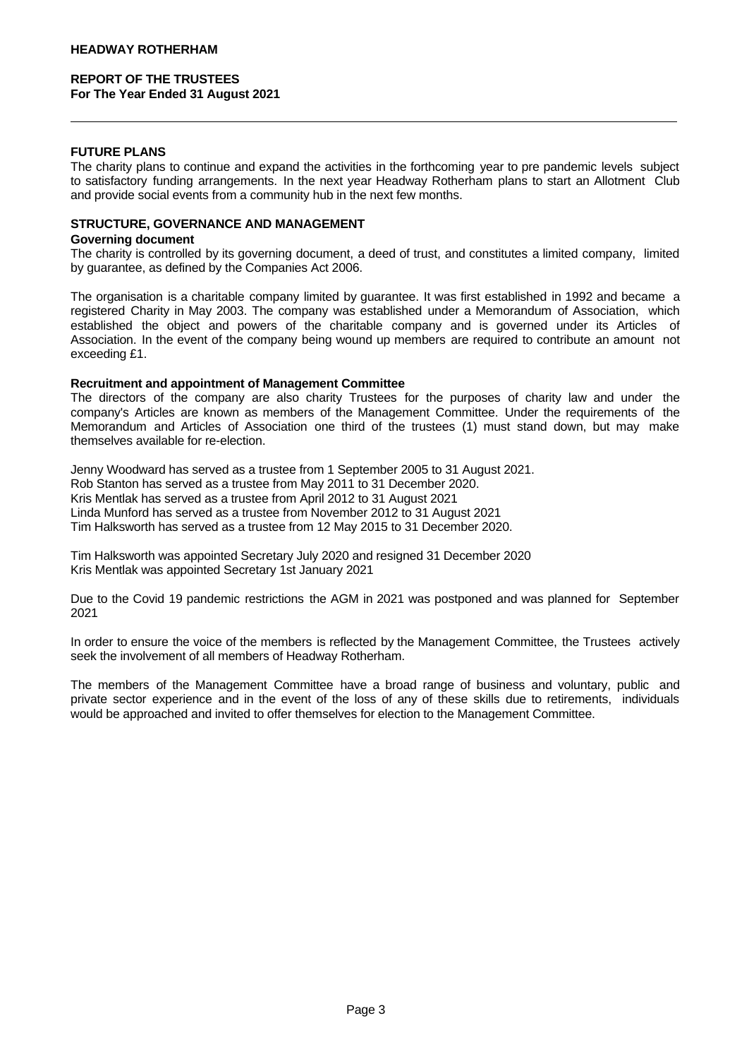### **FUTURE PLANS**

The charity plans to continue and expand the activities in the forthcoming year to pre pandemic levels subject to satisfactory funding arrangements. In the next year Headway Rotherham plans to start an Allotment Club and provide social events from a community hub in the next few months.

## **STRUCTURE, GOVERNANCE AND MANAGEMENT**

#### **Governing document**

The charity is controlled by its governing document, a deed of trust, and constitutes a limited company, limited by guarantee, as defined by the Companies Act 2006.

The organisation is a charitable company limited by guarantee. It was first established in 1992 and became a registered Charity in May 2003. The company was established under a Memorandum of Association, which established the object and powers of the charitable company and is governed under its Articles of Association. In the event of the company being wound up members are required to contribute an amount not exceeding £1.

### **Recruitment and appointment of Management Committee**

The directors of the company are also charity Trustees for the purposes of charity law and under the company's Articles are known as members of the Management Committee. Under the requirements of the Memorandum and Articles of Association one third of the trustees (1) must stand down, but may make themselves available for re-election.

Jenny Woodward has served as a trustee from 1 September 2005 to 31 August 2021. Rob Stanton has served as a trustee from May 2011 to 31 December 2020. Kris Mentlak has served as a trustee from April 2012 to 31 August 2021 Linda Munford has served as a trustee from November 2012 to 31 August 2021 Tim Halksworth has served as a trustee from 12 May 2015 to 31 December 2020.

Tim Halksworth was appointed Secretary July 2020 and resigned 31 December 2020 Kris Mentlak was appointed Secretary 1st January 2021

Due to the Covid 19 pandemic restrictions the AGM in 2021 was postponed and was planned for September 2021

In order to ensure the voice of the members is reflected by the Management Committee, the Trustees actively seek the involvement of all members of Headway Rotherham.

The members of the Management Committee have a broad range of business and voluntary, public and private sector experience and in the event of the loss of any of these skills due to retirements, individuals would be approached and invited to offer themselves for election to the Management Committee.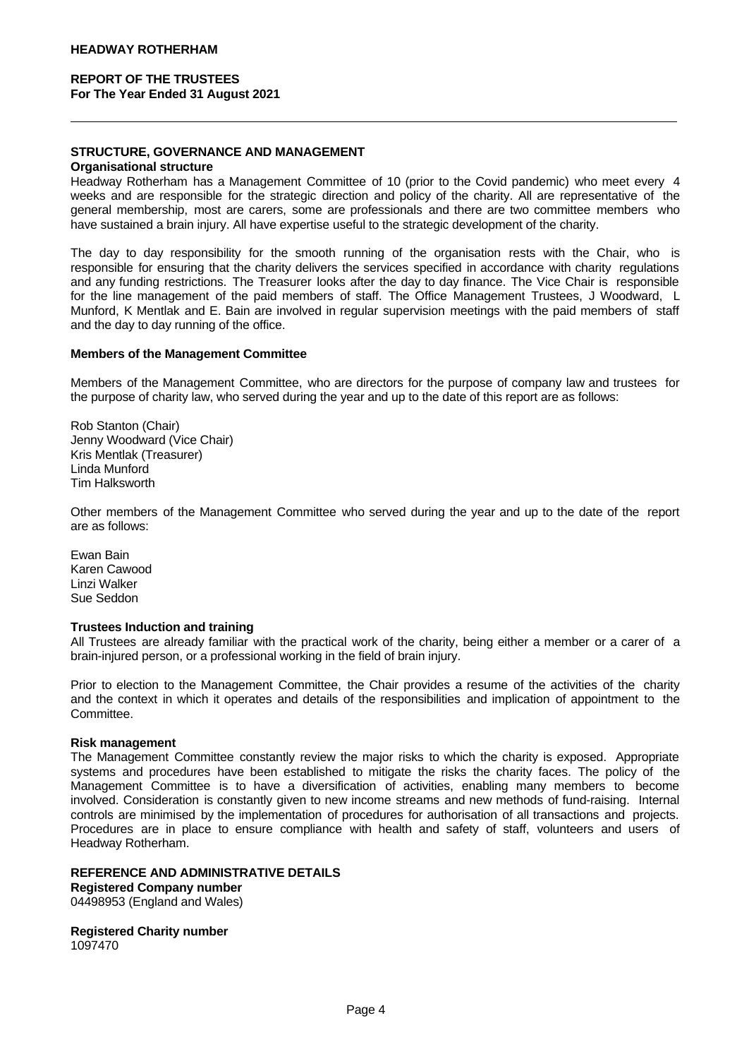## **STRUCTURE, GOVERNANCE AND MANAGEMENT**

#### **Organisational structure**

Headway Rotherham has a Management Committee of 10 (prior to the Covid pandemic) who meet every 4 weeks and are responsible for the strategic direction and policy of the charity. All are representative of the general membership, most are carers, some are professionals and there are two committee members who have sustained a brain injury. All have expertise useful to the strategic development of the charity.

The day to day responsibility for the smooth running of the organisation rests with the Chair, who is responsible for ensuring that the charity delivers the services specified in accordance with charity regulations and any funding restrictions. The Treasurer looks after the day to day finance. The Vice Chair is responsible for the line management of the paid members of staff. The Office Management Trustees, J Woodward, L Munford, K Mentlak and E. Bain are involved in regular supervision meetings with the paid members of staff and the day to day running of the office.

#### **Members of the Management Committee**

Members of the Management Committee, who are directors for the purpose of company law and trustees for the purpose of charity law, who served during the year and up to the date of this report are as follows:

Rob Stanton (Chair) Jenny Woodward (Vice Chair) Kris Mentlak (Treasurer) Linda Munford Tim Halksworth

Other members of the Management Committee who served during the year and up to the date of the report are as follows:

Ewan Bain Karen Cawood Linzi Walker Sue Seddon

### **Trustees Induction and training**

All Trustees are already familiar with the practical work of the charity, being either a member or a carer of a brain-injured person, or a professional working in the field of brain injury.

Prior to election to the Management Committee, the Chair provides a resume of the activities of the charity and the context in which it operates and details of the responsibilities and implication of appointment to the Committee.

### **Risk management**

The Management Committee constantly review the major risks to which the charity is exposed. Appropriate systems and procedures have been established to mitigate the risks the charity faces. The policy of the Management Committee is to have a diversification of activities, enabling many members to become involved. Consideration is constantly given to new income streams and new methods of fund-raising. Internal controls are minimised by the implementation of procedures for authorisation of all transactions and projects. Procedures are in place to ensure compliance with health and safety of staff, volunteers and users of Headway Rotherham.

### **REFERENCE AND ADMINISTRATIVE DETAILS**

### **Registered Company number**

04498953 (England and Wales)

**Registered Charity number**

1097470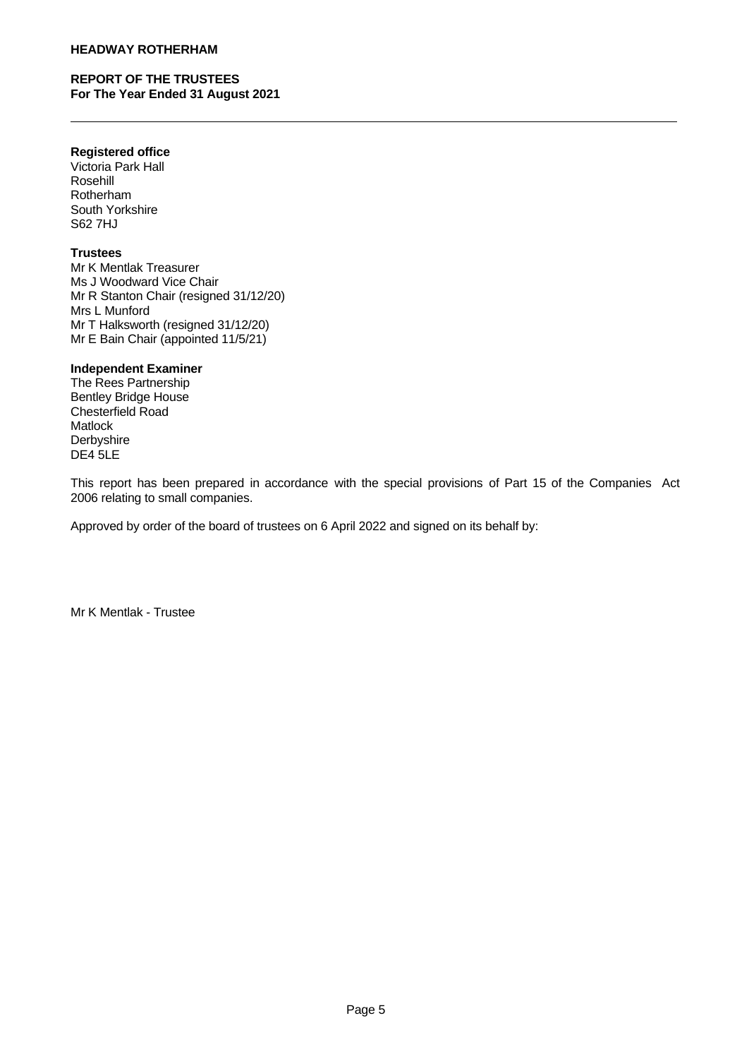### **HEADWAY ROTHERHAM**

## **REPORT OF THE TRUSTEES For The Year Ended 31 August 2021**

### **Registered office**

Victoria Park Hall Rosehill Rotherham South Yorkshire S62 7HJ

### **Trustees**

Mr K Mentlak Treasurer Ms J Woodward Vice Chair Mr R Stanton Chair (resigned 31/12/20) Mrs L Munford Mr T Halksworth (resigned 31/12/20) Mr E Bain Chair (appointed 11/5/21)

### **Independent Examiner**

The Rees Partnership Bentley Bridge House Chesterfield Road Matlock Derbyshire DE4 5LE

This report has been prepared in accordance with the special provisions of Part 15 of the Companies Act 2006 relating to small companies.

Approved by order of the board of trustees on 6 April 2022 and signed on its behalf by:

Mr K Mentlak - Trustee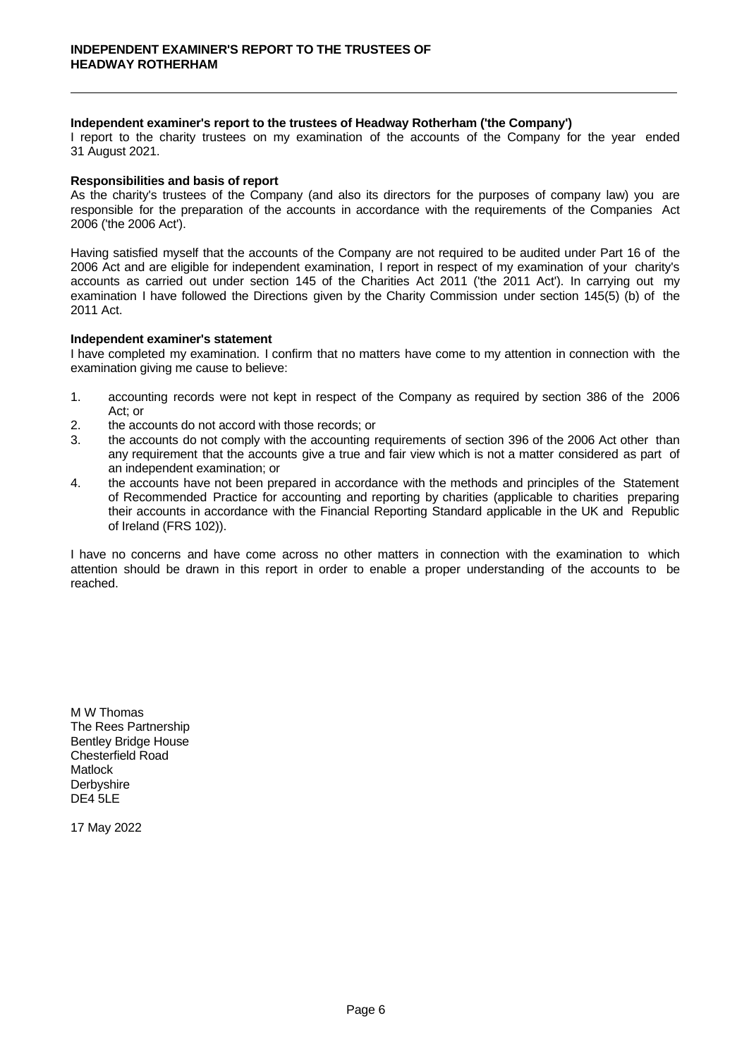### **Independent examiner's report to the trustees of Headway Rotherham ('the Company')**

I report to the charity trustees on my examination of the accounts of the Company for the year ended 31 August 2021.

### **Responsibilities and basis of report**

As the charity's trustees of the Company (and also its directors for the purposes of company law) you are responsible for the preparation of the accounts in accordance with the requirements of the Companies Act 2006 ('the 2006 Act').

Having satisfied myself that the accounts of the Company are not required to be audited under Part 16 of the 2006 Act and are eligible for independent examination, I report in respect of my examination of your charity's accounts as carried out under section 145 of the Charities Act 2011 ('the 2011 Act'). In carrying out my examination I have followed the Directions given by the Charity Commission under section 145(5) (b) of the 2011 Act.

### **Independent examiner's statement**

I have completed my examination. I confirm that no matters have come to my attention in connection with the examination giving me cause to believe:

- 1. accounting records were not kept in respect of the Company as required by section 386 of the 2006 Act; or
- 2. the accounts do not accord with those records; or
- 3. the accounts do not comply with the accounting requirements of section 396 of the 2006 Act other than any requirement that the accounts give a true and fair view which is not a matter considered as part of an independent examination; or
- 4. the accounts have not been prepared in accordance with the methods and principles of the Statement of Recommended Practice for accounting and reporting by charities (applicable to charities preparing their accounts in accordance with the Financial Reporting Standard applicable in the UK and Republic of Ireland (FRS 102)).

I have no concerns and have come across no other matters in connection with the examination to which attention should be drawn in this report in order to enable a proper understanding of the accounts to be reached.

M W Thomas The Rees Partnership Bentley Bridge House Chesterfield Road Matlock **Derbyshire** DE4 5LE

17 May 2022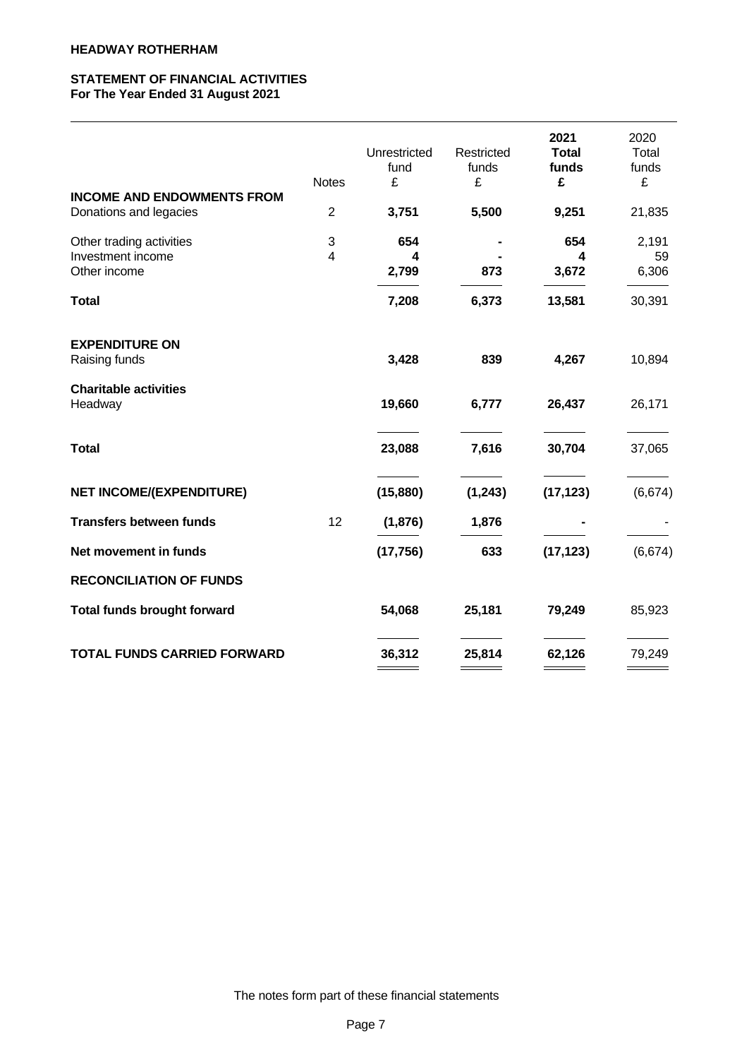## **STATEMENT OF FINANCIAL ACTIVITIES For The Year Ended 31 August 2021**

| <b>INCOME AND ENDOWMENTS FROM</b>                             | <b>Notes</b>                 | Unrestricted<br>fund<br>£ | Restricted<br>funds<br>£ | 2021<br><b>Total</b><br>funds<br>£ | 2020<br>Total<br>funds<br>£ |
|---------------------------------------------------------------|------------------------------|---------------------------|--------------------------|------------------------------------|-----------------------------|
| Donations and legacies                                        | $\sqrt{2}$                   | 3,751                     | 5,500                    | 9,251                              | 21,835                      |
| Other trading activities<br>Investment income<br>Other income | $\sqrt{3}$<br>$\overline{4}$ | 654<br>4<br>2,799         | 873                      | 654<br>4<br>3,672                  | 2,191<br>59<br>6,306        |
| <b>Total</b>                                                  |                              | 7,208                     | 6,373                    | 13,581                             | 30,391                      |
| <b>EXPENDITURE ON</b><br>Raising funds                        |                              | 3,428                     | 839                      | 4,267                              | 10,894                      |
| <b>Charitable activities</b><br>Headway                       |                              | 19,660                    | 6,777                    | 26,437                             | 26,171                      |
| <b>Total</b>                                                  |                              | 23,088                    | 7,616                    | 30,704                             | 37,065                      |
| <b>NET INCOME/(EXPENDITURE)</b>                               |                              | (15, 880)                 | (1, 243)                 | (17, 123)                          | (6,674)                     |
| <b>Transfers between funds</b>                                | 12                           | (1,876)                   | 1,876                    |                                    |                             |
| Net movement in funds                                         |                              | (17, 756)                 | 633                      | (17, 123)                          | (6,674)                     |
| <b>RECONCILIATION OF FUNDS</b>                                |                              |                           |                          |                                    |                             |
| <b>Total funds brought forward</b>                            |                              | 54,068                    | 25,181                   | 79,249                             | 85,923                      |
| <b>TOTAL FUNDS CARRIED FORWARD</b>                            |                              | 36,312                    | 25,814                   | 62,126                             | 79,249                      |
|                                                               |                              |                           |                          |                                    |                             |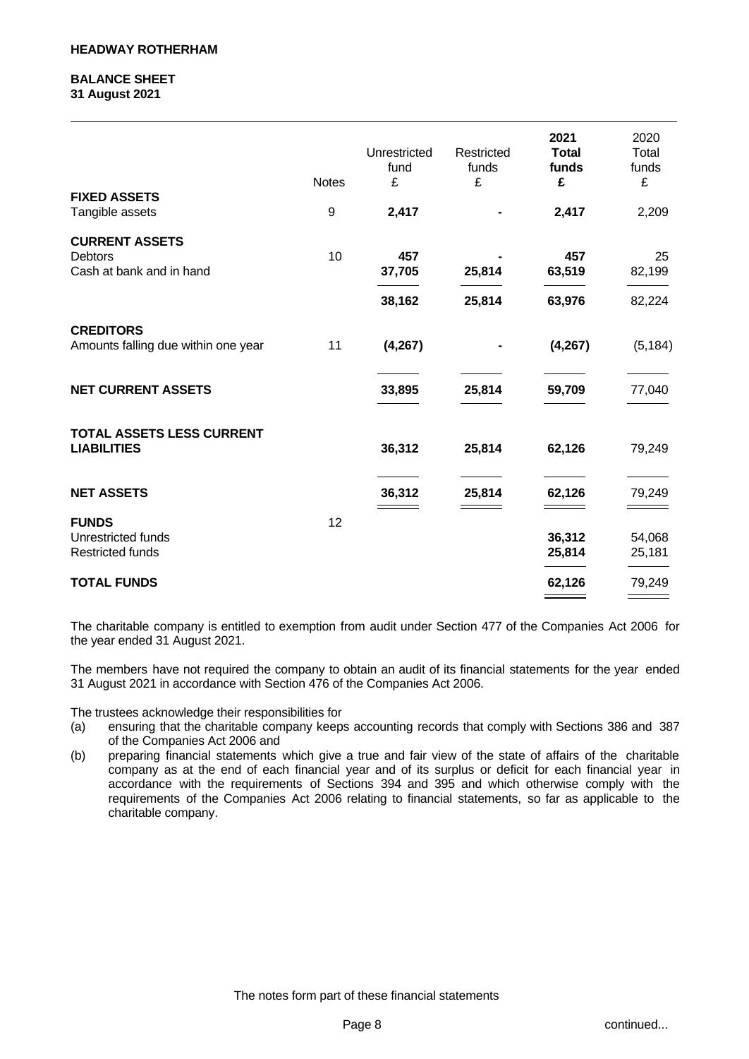### **BALANCE SHEET 31 August 2021**

| 10<br>457<br>457<br>25                     | 2020<br>Total<br>funds<br>£<br>2,209 | 2021<br><b>Total</b><br>funds<br>£<br>2,417 | Restricted<br>funds<br>£ | Unrestricted<br>fund<br>£<br>2,417 | <b>Notes</b><br>9 | <b>FIXED ASSETS</b><br>Tangible assets                        |
|--------------------------------------------|--------------------------------------|---------------------------------------------|--------------------------|------------------------------------|-------------------|---------------------------------------------------------------|
|                                            |                                      |                                             |                          |                                    |                   | <b>CURRENT ASSETS</b><br>Debtors                              |
|                                            | 82,199                               | 63,519                                      | 25,814                   | 37,705                             |                   | Cash at bank and in hand                                      |
| 38,162<br>25,814<br>63,976<br>82,224       |                                      |                                             |                          |                                    |                   |                                                               |
| 11<br>(4, 267)<br>(4, 267)<br>(5, 184)     |                                      |                                             |                          |                                    |                   | <b>CREDITORS</b><br>Amounts falling due within one year       |
| 25,814<br>33,895<br>59,709<br>77,040       |                                      |                                             |                          |                                    |                   | <b>NET CURRENT ASSETS</b>                                     |
| 36,312<br>25,814<br>62,126<br>79,249       |                                      |                                             |                          |                                    |                   | TOTAL ASSETS LESS CURRENT<br><b>LIABILITIES</b>               |
| 25,814<br>36,312<br>62,126<br>79,249       |                                      |                                             |                          |                                    |                   | <b>NET ASSETS</b>                                             |
| 12<br>36,312<br>54,068<br>25,814<br>25,181 |                                      |                                             |                          |                                    |                   | <b>FUNDS</b><br>Unrestricted funds<br><b>Restricted funds</b> |
| 62,126<br>79,249                           |                                      |                                             |                          |                                    |                   | <b>TOTAL FUNDS</b>                                            |

The charitable company is entitled to exemption from audit under Section 477 of the Companies Act 2006 for the year ended 31 August 2021.

The members have not required the company to obtain an audit of its financial statements for the year ended 31 August 2021 in accordance with Section 476 of the Companies Act 2006.

The trustees acknowledge their responsibilities for

- (a) ensuring that the charitable company keeps accounting records that comply with Sections 386 and 387 of the Companies Act 2006 and
- (b) preparing financial statements which give a true and fair view of the state of affairs of the charitable company as at the end of each financial year and of its surplus or deficit for each financial year in accordance with the requirements of Sections 394 and 395 and which otherwise comply with the requirements of the Companies Act 2006 relating to financial statements, so far as applicable to the charitable company.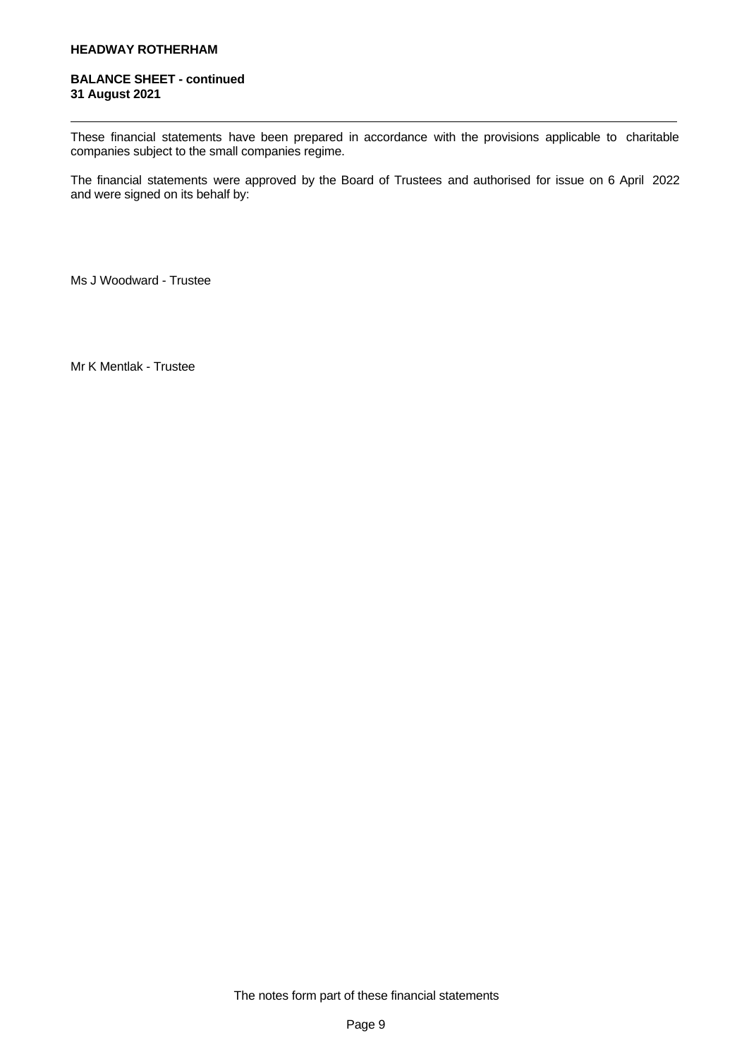### **BALANCE SHEET - continued 31 August 2021**

These financial statements have been prepared in accordance with the provisions applicable to charitable companies subject to the small companies regime.

The financial statements were approved by the Board of Trustees and authorised for issue on 6 April 2022 and were signed on its behalf by:

Ms J Woodward - Trustee

Mr K Mentlak - Trustee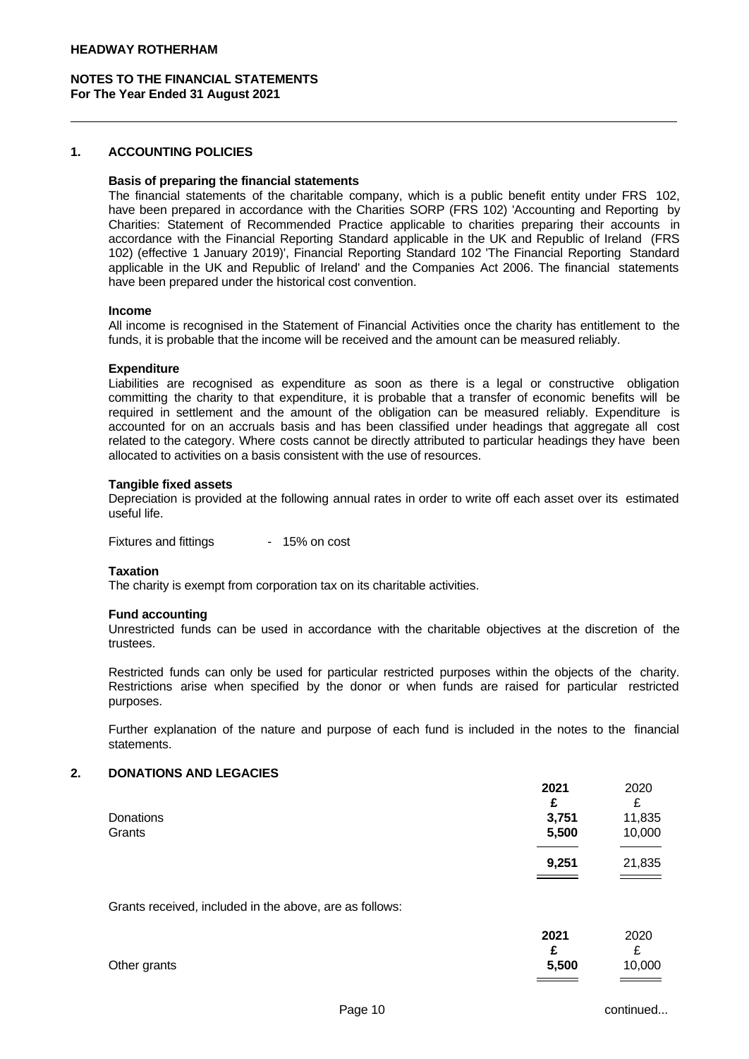### **1. ACCOUNTING POLICIES**

#### **Basis of preparing the financial statements**

The financial statements of the charitable company, which is a public benefit entity under FRS 102, have been prepared in accordance with the Charities SORP (FRS 102) 'Accounting and Reporting by Charities: Statement of Recommended Practice applicable to charities preparing their accounts in accordance with the Financial Reporting Standard applicable in the UK and Republic of Ireland (FRS 102) (effective 1 January 2019)', Financial Reporting Standard 102 'The Financial Reporting Standard applicable in the UK and Republic of Ireland' and the Companies Act 2006. The financial statements have been prepared under the historical cost convention.

#### **Income**

All income is recognised in the Statement of Financial Activities once the charity has entitlement to the funds, it is probable that the income will be received and the amount can be measured reliably.

#### **Expenditure**

Liabilities are recognised as expenditure as soon as there is a legal or constructive obligation committing the charity to that expenditure, it is probable that a transfer of economic benefits will be required in settlement and the amount of the obligation can be measured reliably. Expenditure is accounted for on an accruals basis and has been classified under headings that aggregate all cost related to the category. Where costs cannot be directly attributed to particular headings they have been allocated to activities on a basis consistent with the use of resources.

#### **Tangible fixed assets**

Depreciation is provided at the following annual rates in order to write off each asset over its estimated useful life.

Fixtures and fittings - 15% on cost

#### **Taxation**

The charity is exempt from corporation tax on its charitable activities.

#### **Fund accounting**

Unrestricted funds can be used in accordance with the charitable objectives at the discretion of the trustees.

Restricted funds can only be used for particular restricted purposes within the objects of the charity. Restrictions arise when specified by the donor or when funds are raised for particular restricted purposes.

Further explanation of the nature and purpose of each fund is included in the notes to the financial statements.

### **2. DONATIONS AND LEGACIES**

|           | 2021  | 2020   |
|-----------|-------|--------|
|           | £     | £      |
| Donations | 3,751 | 11,835 |
| Grants    | 5,500 | 10,000 |
|           |       |        |
|           | 9,251 | 21,835 |
|           |       |        |

Grants received, included in the above, are as follows:

|              | 2021  | 2020   |
|--------------|-------|--------|
|              |       | ∼      |
| Other grants | 5,500 | 10,000 |
|              |       |        |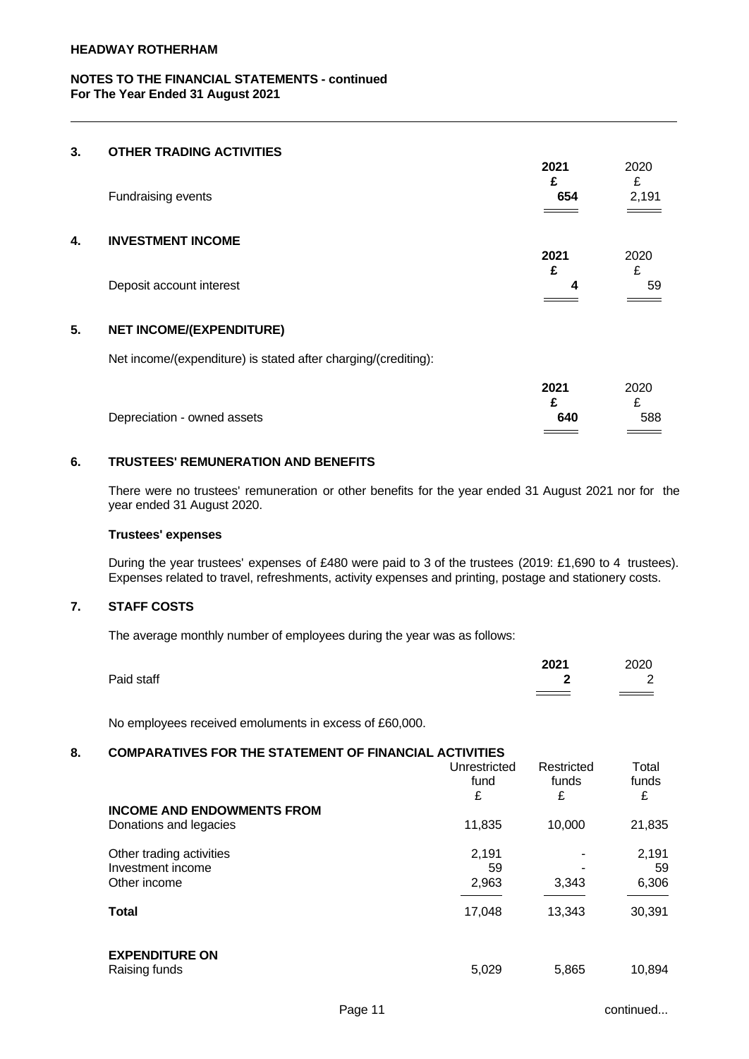### **3. OTHER TRADING ACTIVITIES**

|    |                          | 2021 | 2020  |  |
|----|--------------------------|------|-------|--|
|    |                          |      | c     |  |
|    | Fundraising events       | 654  | 2,191 |  |
|    |                          |      |       |  |
|    |                          |      |       |  |
| 4. | <b>INVESTMENT INCOME</b> |      |       |  |
|    |                          | 2021 | 2020  |  |
|    |                          | £    | c     |  |
|    | Deposit account interest | Δ    | 59    |  |
|    |                          |      |       |  |

### **5. NET INCOME/(EXPENDITURE)**

Net income/(expenditure) is stated after charging/(crediting):

|                             | 2021      | 2020                       |
|-----------------------------|-----------|----------------------------|
|                             |           |                            |
| Depreciation - owned assets | 640       | 588                        |
|                             | $\, = \,$ | $\equiv$ $\equiv$ $\equiv$ |

## **6. TRUSTEES' REMUNERATION AND BENEFITS**

There were no trustees' remuneration or other benefits for the year ended 31 August 2021 nor for the year ended 31 August 2020.

### **Trustees' expenses**

During the year trustees' expenses of £480 were paid to 3 of the trustees (2019: £1,690 to 4 trustees). Expenses related to travel, refreshments, activity expenses and printing, postage and stationery costs.

# **7. STAFF COSTS**

The average monthly number of employees during the year was as follows:

|            | 2021 | 2020          |  |
|------------|------|---------------|--|
| Paid staff |      | ⌒<br><u>_</u> |  |
|            |      | $=$ $-$       |  |
|            |      |               |  |

No employees received emoluments in excess of £60,000.

### **8. COMPARATIVES FOR THE STATEMENT OF FINANCIAL ACTIVITIES**

|                                   | Unrestricted<br>fund<br>£ | Restricted<br>funds<br>£ | Total<br>funds<br>£ |
|-----------------------------------|---------------------------|--------------------------|---------------------|
| <b>INCOME AND ENDOWMENTS FROM</b> |                           |                          |                     |
| Donations and legacies            | 11,835                    | 10,000                   | 21,835              |
| Other trading activities          | 2,191                     | ۰                        | 2,191               |
| Investment income                 | 59                        | -                        | 59                  |
| Other income                      | 2,963                     | 3,343                    | 6,306               |
| <b>Total</b>                      | 17,048                    | 13,343                   | 30,391              |
| <b>EXPENDITURE ON</b>             |                           |                          |                     |
| Raising funds                     | 5,029                     | 5,865                    | 10,894              |
|                                   |                           |                          |                     |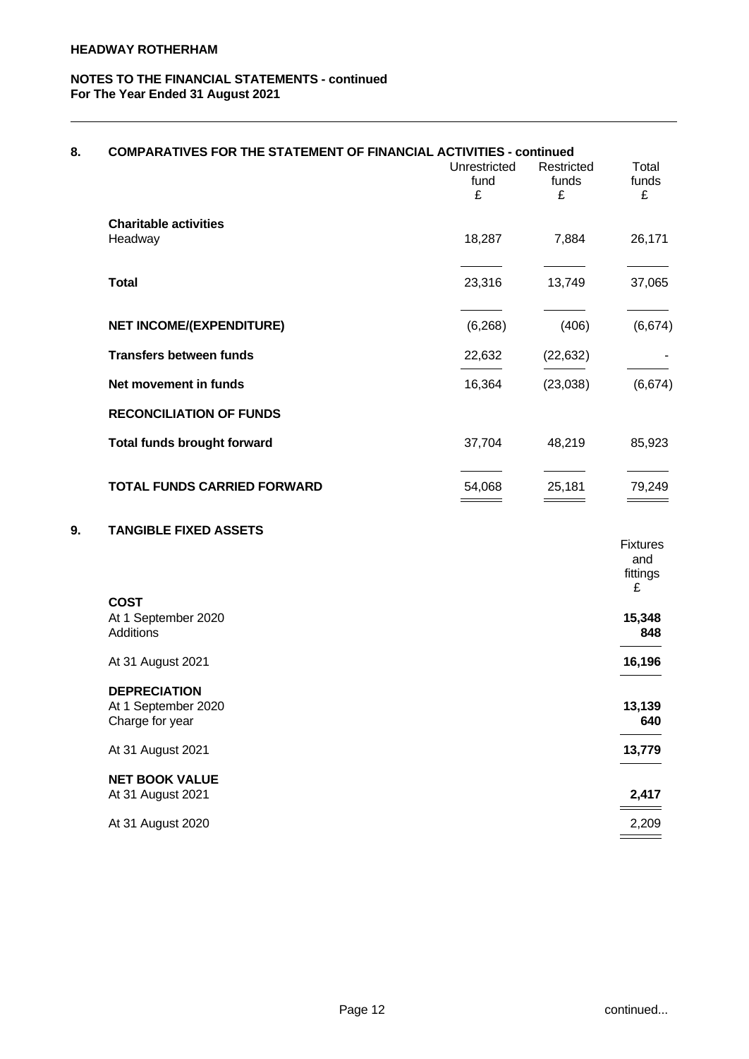| 8. | <b>COMPARATIVES FOR THE STATEMENT OF FINANCIAL ACTIVITIES - continued</b> |                           |                          |                                         |  |
|----|---------------------------------------------------------------------------|---------------------------|--------------------------|-----------------------------------------|--|
|    |                                                                           | Unrestricted<br>fund<br>£ | Restricted<br>funds<br>£ | Total<br>funds<br>£                     |  |
|    | <b>Charitable activities</b><br>Headway                                   | 18,287                    | 7,884                    | 26,171                                  |  |
|    | <b>Total</b>                                                              | 23,316                    | 13,749                   | 37,065                                  |  |
|    | <b>NET INCOME/(EXPENDITURE)</b>                                           | (6, 268)                  | (406)                    | (6,674)                                 |  |
|    | <b>Transfers between funds</b>                                            | 22,632                    | (22, 632)                |                                         |  |
|    | Net movement in funds                                                     | 16,364                    | (23,038)                 | (6,674)                                 |  |
|    | <b>RECONCILIATION OF FUNDS</b>                                            |                           |                          |                                         |  |
|    | <b>Total funds brought forward</b>                                        | 37,704                    | 48,219                   | 85,923                                  |  |
|    | <b>TOTAL FUNDS CARRIED FORWARD</b>                                        | 54,068                    | 25,181                   | 79,249                                  |  |
| 9. | <b>TANGIBLE FIXED ASSETS</b>                                              |                           |                          | <b>Fixtures</b><br>and<br>fittings<br>£ |  |
|    | <b>COST</b><br>At 1 September 2020<br>Additions                           |                           |                          | 15,348<br>848                           |  |
|    | At 31 August 2021                                                         |                           |                          | 16,196                                  |  |
|    | <b>DEPRECIATION</b><br>At 1 September 2020<br>Charge for year             |                           |                          | 13,139<br>640                           |  |
|    | At 31 August 2021                                                         |                           |                          | 13,779                                  |  |
|    | <b>NET BOOK VALUE</b>                                                     |                           |                          |                                         |  |
|    | At 31 August 2021                                                         |                           |                          | 2,417                                   |  |
|    | At 31 August 2020                                                         |                           |                          | 2,209                                   |  |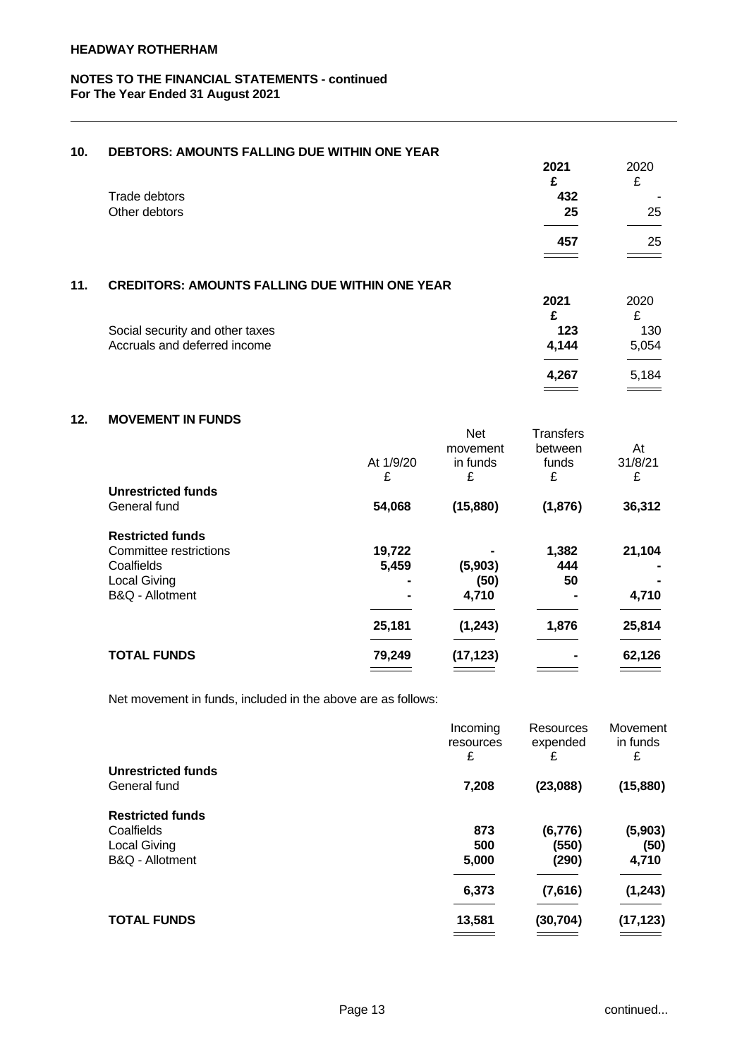| 10. | <b>DEBTORS: AMOUNTS FALLING DUE WITHIN ONE YEAR</b>   |       |       |
|-----|-------------------------------------------------------|-------|-------|
|     |                                                       | 2021  | 2020  |
|     |                                                       | £     | £     |
|     | Trade debtors                                         | 432   |       |
|     | Other debtors                                         | 25    | 25    |
|     |                                                       |       |       |
|     |                                                       | 457   | 25    |
|     |                                                       |       |       |
| 11. | <b>CREDITORS: AMOUNTS FALLING DUE WITHIN ONE YEAR</b> |       |       |
|     |                                                       | 2021  | 2020  |
|     |                                                       | £     | £     |
|     | Social security and other taxes                       | 123   | 130   |
|     | Accruals and deferred income                          | 4,144 | 5,054 |
|     |                                                       |       |       |
|     |                                                       | 4,267 | 5,184 |
|     |                                                       |       |       |

# **12. MOVEMENT IN FUNDS**

|                           |           | Net       | Transfers      |         |  |
|---------------------------|-----------|-----------|----------------|---------|--|
|                           |           | movement  | between        | At      |  |
|                           | At 1/9/20 | in funds  | funds          | 31/8/21 |  |
|                           | £         | £         | £              | £       |  |
| <b>Unrestricted funds</b> |           |           |                |         |  |
| General fund              | 54,068    | (15, 880) | (1,876)        | 36,312  |  |
|                           |           |           |                |         |  |
| <b>Restricted funds</b>   |           |           |                |         |  |
| Committee restrictions    | 19,722    |           | 1,382          | 21,104  |  |
| Coalfields                | 5,459     | (5,903)   | 444            |         |  |
| <b>Local Giving</b>       | -         | (50)      | 50             |         |  |
| B&Q - Allotment           |           | 4,710     |                | 4,710   |  |
|                           |           |           |                |         |  |
|                           | 25,181    | (1, 243)  | 1,876          | 25,814  |  |
| <b>TOTAL FUNDS</b>        | 79,249    | (17, 123) | $\blacksquare$ | 62,126  |  |
|                           |           |           |                |         |  |

Net movement in funds, included in the above are as follows:

|                           | Incoming<br>resources | Resources<br>expended | Movement<br>in funds |
|---------------------------|-----------------------|-----------------------|----------------------|
|                           | £                     | £                     | £                    |
| <b>Unrestricted funds</b> |                       |                       |                      |
| General fund              | 7,208                 | (23,088)              | (15, 880)            |
| <b>Restricted funds</b>   |                       |                       |                      |
| Coalfields                | 873                   | (6,776)               | (5,903)              |
| <b>Local Giving</b>       | 500                   | (550)                 | (50)                 |
| B&Q - Allotment           | 5,000                 | (290)                 | 4,710                |
|                           | 6,373                 | (7,616)               | (1, 243)             |
| <b>TOTAL FUNDS</b>        | 13,581                | (30, 704)             | (17, 123)            |
|                           |                       |                       |                      |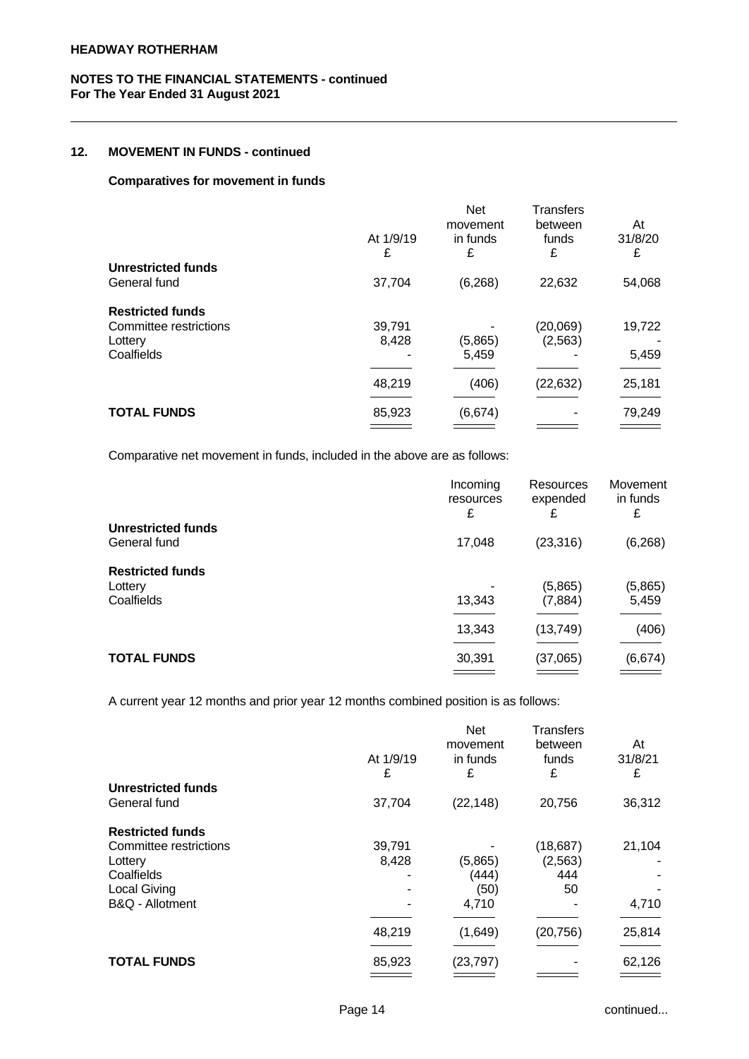### **12. MOVEMENT IN FUNDS - continued**

### **Comparatives for movement in funds**

|                           | At 1/9/19<br>£ | <b>Net</b><br>movement<br>in funds<br>£ | <b>Transfers</b><br>between<br>funds<br>£ | At<br>31/8/20<br>£ |  |
|---------------------------|----------------|-----------------------------------------|-------------------------------------------|--------------------|--|
| <b>Unrestricted funds</b> |                |                                         |                                           |                    |  |
| General fund              | 37,704         | (6, 268)                                | 22,632                                    | 54,068             |  |
| <b>Restricted funds</b>   |                |                                         |                                           |                    |  |
| Committee restrictions    | 39,791         |                                         | (20,069)                                  | 19,722             |  |
| Lottery                   | 8,428          | (5,865)                                 | (2, 563)                                  |                    |  |
| Coalfields                |                | 5,459                                   |                                           | 5,459              |  |
|                           | 48,219         | (406)                                   | (22, 632)                                 | 25,181             |  |
| <b>TOTAL FUNDS</b>        | 85,923         | (6,674)                                 |                                           | 79,249             |  |
|                           |                |                                         |                                           |                    |  |

Comparative net movement in funds, included in the above are as follows:

|                                                  | Incoming<br>resources<br>£ | Resources<br>expended<br>£ | Movement<br>in funds<br>£ |  |
|--------------------------------------------------|----------------------------|----------------------------|---------------------------|--|
| Unrestricted funds<br>General fund               | 17,048                     | (23, 316)                  | (6, 268)                  |  |
| <b>Restricted funds</b><br>Lottery<br>Coalfields | 13,343                     | (5,865)<br>(7,884)         | (5,865)<br>5,459          |  |
|                                                  | 13,343                     | (13,749)                   | (406)                     |  |
| <b>TOTAL FUNDS</b>                               | 30,391                     | (37,065)                   | (6,674)                   |  |

A current year 12 months and prior year 12 months combined position is as follows:

|                           | At 1/9/19<br>£ | <b>Net</b><br>movement<br>in funds<br>£ | <b>Transfers</b><br>between<br>funds<br>£ | At<br>31/8/21<br>£       |  |
|---------------------------|----------------|-----------------------------------------|-------------------------------------------|--------------------------|--|
| <b>Unrestricted funds</b> |                |                                         |                                           |                          |  |
| General fund              | 37,704         | (22, 148)                               | 20,756                                    | 36,312                   |  |
| <b>Restricted funds</b>   |                |                                         |                                           |                          |  |
| Committee restrictions    | 39,791         |                                         | (18, 687)                                 | 21,104                   |  |
| Lottery                   | 8,428          | (5,865)                                 | (2, 563)                                  | ٠                        |  |
| Coalfields                |                | (444)                                   | 444                                       | $\overline{\phantom{0}}$ |  |
| <b>Local Giving</b>       |                | (50)                                    | 50                                        |                          |  |
| B&Q - Allotment           |                | 4,710                                   |                                           | 4,710                    |  |
|                           | 48,219         | (1,649)                                 | (20, 756)                                 | 25,814                   |  |
|                           |                |                                         |                                           |                          |  |
| <b>TOTAL FUNDS</b>        | 85,923         | (23, 797)                               |                                           | 62,126                   |  |
|                           |                |                                         |                                           |                          |  |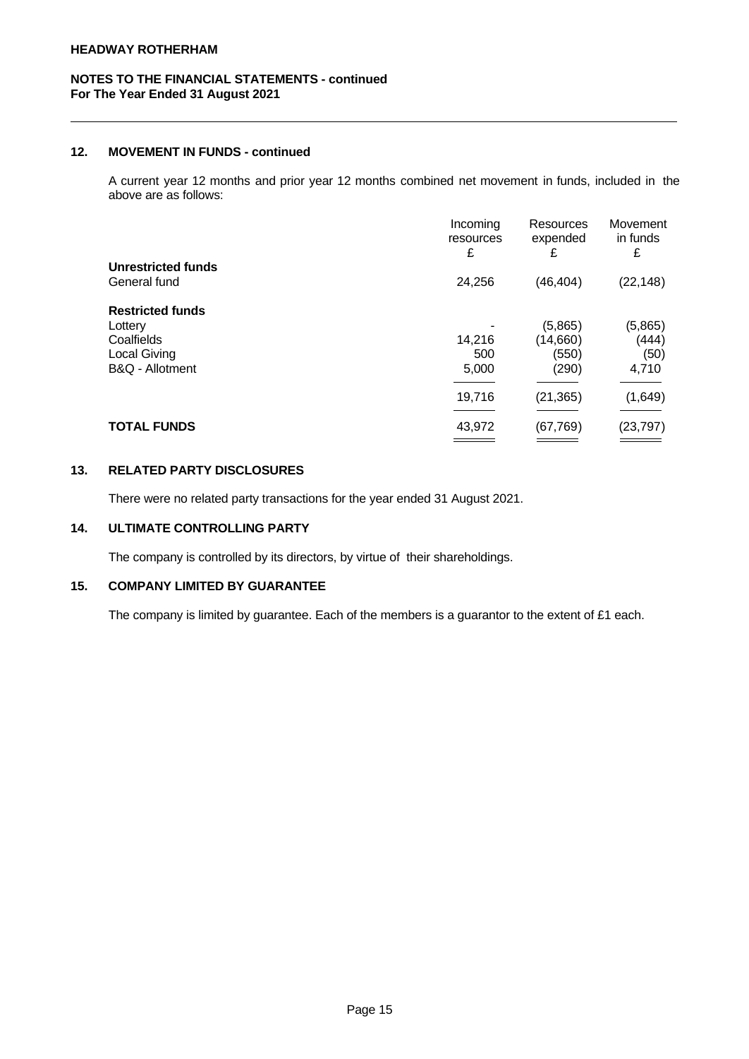### **12. MOVEMENT IN FUNDS - continued**

A current year 12 months and prior year 12 months combined net movement in funds, included in the above are as follows:

|                                           | Incoming<br>resources<br>£ | Resources<br>expended<br>£ | Movement<br>in funds<br>£ |  |
|-------------------------------------------|----------------------------|----------------------------|---------------------------|--|
| <b>Unrestricted funds</b><br>General fund | 24,256                     | (46, 404)                  | (22, 148)                 |  |
|                                           |                            |                            |                           |  |
| <b>Restricted funds</b>                   |                            |                            |                           |  |
| Lottery                                   |                            | (5,865)                    | (5,865)                   |  |
| Coalfields                                | 14,216                     | (14,660)                   | (444)                     |  |
| Local Giving                              | 500                        | (550)                      | (50)                      |  |
| B&Q - Allotment                           | 5,000                      | (290)                      | 4,710                     |  |
|                                           | 19,716                     | (21, 365)                  | (1,649)                   |  |
| <b>TOTAL FUNDS</b>                        | 43,972                     | (67, 769)                  | (23, 797)                 |  |
|                                           |                            |                            |                           |  |

## **13. RELATED PARTY DISCLOSURES**

There were no related party transactions for the year ended 31 August 2021.

# **14. ULTIMATE CONTROLLING PARTY**

The company is controlled by its directors, by virtue of their shareholdings.

## **15. COMPANY LIMITED BY GUARANTEE**

The company is limited by guarantee. Each of the members is a guarantor to the extent of £1 each.